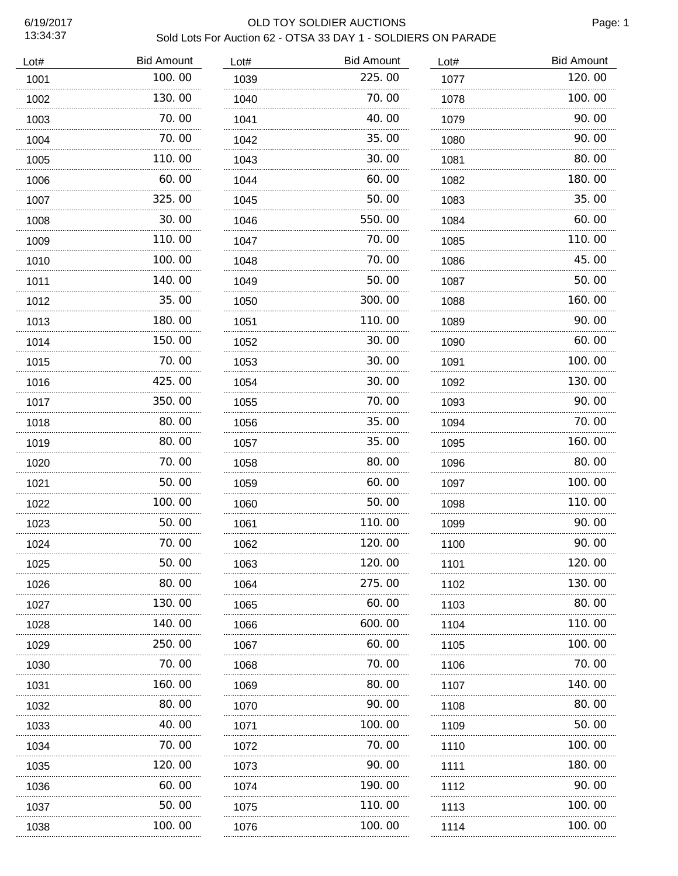### 6/19/2017 OLD TOY SOLDIER AUCTIONS Sold Lots For Auction 62 - OTSA 33 DAY 1 - SOLDIERS ON PARADE

Page: 1

| Lot# | <b>Bid Amount</b> | Lot# | <b>Bid Amount</b> | Lot# | <b>Bid Amount</b> |
|------|-------------------|------|-------------------|------|-------------------|
| 1001 | 100.00            | 1039 | 225.00            | 1077 | 120.00            |
| 1002 | 130.00            | 1040 | 70.00             | 1078 | 100.00            |
| 1003 | 70.00             | 1041 | 40.00             | 1079 | 90.00             |
| 1004 | 70.00             | 1042 | 35.00             | 1080 | 90.00             |
| 1005 | 110.00            | 1043 | 30.00             | 1081 | 80.00             |
| 1006 | 60.00             | 1044 | 60.00             | 1082 | 180.00            |
| 1007 | 325,00            | 1045 | 50.00             | 1083 | 35.00             |
| 1008 | 30.00             | 1046 | 550.00            | 1084 | 60.00             |
| 1009 | 110.00            | 1047 | 70.00             | 1085 | 110.00            |
| 1010 | 100, 00           | 1048 | 70.00             | 1086 | 45.00             |
| 1011 | 140.00            | 1049 | 50.00             | 1087 | 50.00             |
| 1012 | 35,00             | 1050 | 300.00            | 1088 | 160.00            |
| 1013 | .<br>180.00       | 1051 | .<br>110.00       | 1089 | 90.00             |
| 1014 | 150,00            | 1052 | 30.00             | 1090 | 60.00             |
| 1015 | 70.00             | 1053 | 30.00             | 1091 | 100.00            |
| 1016 | 425, 00           | 1054 | 30.00             | 1092 | 130.00            |
| 1017 | 350.00            | 1055 | 70.00             | 1093 | 90.00             |
| 1018 | 80.00             | 1056 | 35.00             | 1094 | 70.00             |
| 1019 | 80.00             | 1057 | 35.00             | 1095 | 160.00            |
| 1020 | 70.00             | 1058 | 80.00             | 1096 | 80.00             |
| 1021 | 50.00             | 1059 | 60.00             | 1097 | 100.00            |
| 1022 | 100.00            | 1060 | 50.00             | 1098 | 110.00            |
| 1023 | 50.00             | 1061 | 110.00            | 1099 | 90.00             |
| 1024 | 70.00             | 1062 | 120.00            | 1100 | 90.00             |
| 1025 | 50.00             | 1063 | 120.00            | 1101 | 120.00            |
| 1026 | 80.00             | 1064 | 275.00            | 1102 | 130.00            |
| 1027 | 130.00            | 1065 | 60.00             | 1103 | 80.00             |
| 1028 | 140.00            | 1066 | 600.00            | 1104 | 110.00            |
| 1029 | 250.00            | 1067 | 60.00             | 1105 | 100.00            |
| 1030 | 70.00             | 1068 | 70.00             | 1106 | 70.00             |
| 1031 | 160. 00           | 1069 | 80.00             | 1107 | 140.00            |
| 1032 | 80.00             | 1070 | 90.00             | 1108 | 80.00             |
| 1033 | .<br>40.00        | 1071 | .<br>100. 00      | 1109 | 50.00             |
| 1034 | 70. 00            | 1072 | 70.00             | 1110 | 100.00            |
| 1035 | 120. 00           | 1073 | 90.00             | 1111 | 180.00            |
| 1036 | 60.00             | 1074 | 190.00            | 1112 | 90.00             |
| 1037 | 50.00             | 1075 | 110.00            | 1113 | 100.00            |
| 1038 | 100.00            | 1076 | 100.00            | 1114 | 100.00            |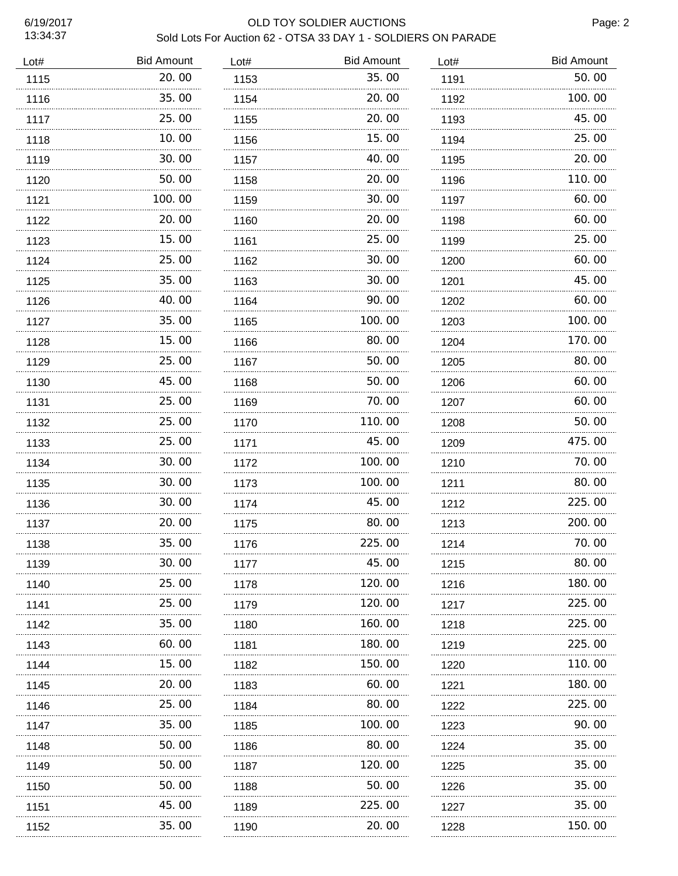| Lot# | <b>Bid Amount</b> | Lot# | <b>Bid Amount</b> | Lot# | <b>Bid Amount</b> |
|------|-------------------|------|-------------------|------|-------------------|
| 1115 | 20.00             | 1153 | 35.00             | 1191 | 50.00             |
| 1116 | 35.00             | 1154 | 20,00             | 1192 | 100.00            |
| 1117 | 25.00             | 1155 | 20.00             | 1193 | 45.00             |
| 1118 | 10.00             | 1156 | 15.00             | 1194 | 25.00             |
| 1119 | 30.00             | 1157 | 40.00             | 1195 | 20.00             |
| 1120 | 50.00             | 1158 | 20.00             | 1196 | 110.00            |
| 1121 | 100.00            | 1159 | 30.00             | 1197 | 60.00             |
| 1122 | 20.00             | 1160 | 20.00             | 1198 | 60.00             |
| 1123 | 15.00<br>.        | 1161 | 25.00             | 1199 | 25.00             |
| 1124 | 25.00             | 1162 | 30.00             | 1200 | 60.00             |
| 1125 | 35.00             | 1163 | 30.00             | 1201 | 45.00             |
| 1126 | 40.00             | 1164 | 90.00             | 1202 | 60.00             |
| 1127 | 35.00             | 1165 | 100.00            | 1203 | 100.00            |
| 1128 | 15.00             | 1166 | 80.00             | 1204 | 170.00            |
| 1129 | 25.00             | 1167 | 50.00             | 1205 | 80.00             |
| 1130 | 45.00             | 1168 | 50.00             | 1206 | 60.00             |
| 1131 | 25.00             | 1169 | 70.00             | 1207 | 60.00             |
| 1132 | 25.00             | 1170 | 110.00            | 1208 | 50.00             |
| 1133 | 25.00             | 1171 | 45.00             | 1209 | 475.00            |
| 1134 | 30.00             | 1172 | 100.00            | 1210 | 70.00             |
| 1135 | 30.00             | 1173 | 100.00            | 1211 | 80.00             |
| 1136 | 30.00             | 1174 | 45.00             | 1212 | 225.00            |
| 1137 | 20.00             | 1175 | 80.00             | 1213 | 200.00            |
| 1138 | 35.00             | 1176 | 225.00            | 1214 | 70.00             |
| 1139 | 30.00             | 1177 | 45.00             | 1215 | 80.00             |
| 1140 | 25.00             | 1178 | 120.00            | 1216 | 180.00            |
| 1141 | 25.00             | 1179 | 120.00            | 1217 | 225.00            |
| 1142 | 35.00             | 1180 | 160.00            | 1218 | 225.00            |
| 1143 | 60.00             | 1181 | 180.00            | 1219 | 225.00            |
| 1144 | 15. 00            | 1182 | 150.00            | 1220 | 110.00            |
| 1145 | 20.00<br>.        | 1183 | 60. 00            | 1221 | 180.00            |
| 1146 | 25.00             | 1184 | 80.00             | 1222 | 225.00            |
| 1147 | 35.00             | 1185 | 100.00            | 1223 | 90.00             |
| 1148 | 50.00             | 1186 | 80.00             | 1224 | 35.00             |
| 1149 | 50.00             | 1187 | 120.00            | 1225 | 35.00             |
| 1150 | 50.00             | 1188 | 50.00             | 1226 | 35.00             |
| 1151 | 45.00             | 1189 | 225.00            | 1227 | 35.00             |
| 1152 | 35.00             | 1190 | 20.00             | 1228 | 150. 00           |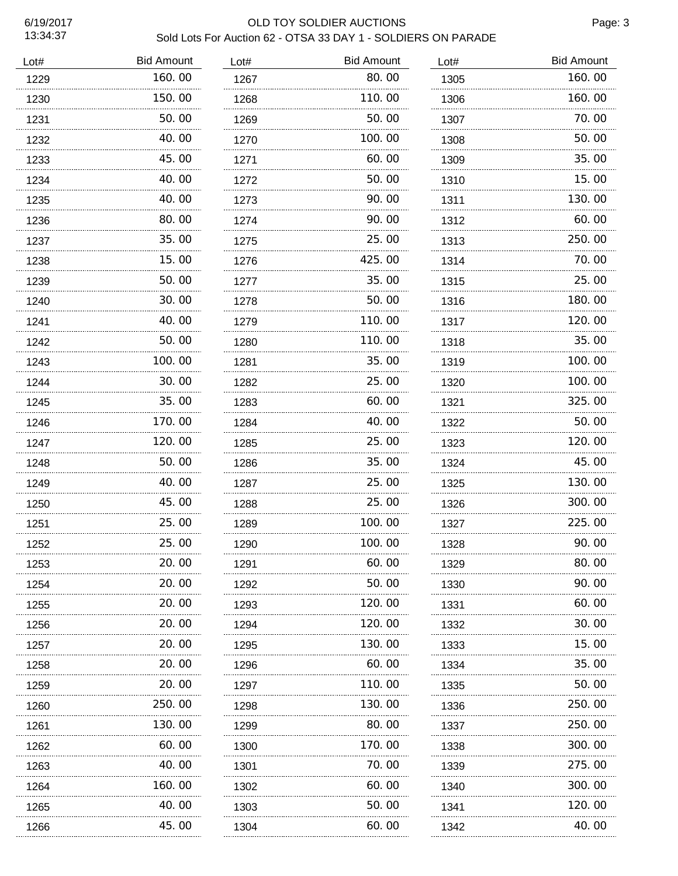÷.

 $\ddot{\phantom{a}}$ ü, ă,  $\sim$  $\ldots$ 

| Lot# | <b>Bid Amount</b> | Lot# | <b>Bid Amount</b> | Lot# | <b>Bid Amount</b> |
|------|-------------------|------|-------------------|------|-------------------|
| 1229 | 160.00            | 1267 | 80.00             | 1305 | 160.00            |
| 1230 | 150.00            | 1268 | 110.00            | 1306 | 160.00            |
| 1231 | 50.00             | 1269 | 50.00             | 1307 | 70.00             |
| 1232 | 40.00             | 1270 | 100.00            | 1308 | 50.00             |
| 1233 | 45.00             | 1271 | 60.00             | 1309 | 35.00             |
| 1234 | 40.00             | 1272 | 50.00             | 1310 | 15.00             |
| 1235 | 40.00             | 1273 | 90.00             | 1311 | 130.00            |
| 1236 | 80.00             | 1274 | 90.00             | 1312 | 60.00             |
| 1237 | 35.00             | 1275 | 25.00             | 1313 | 250.00            |
| 1238 | 15.00             | 1276 | 425.00            | 1314 | 70.00             |
| 1239 | 50.00             | 1277 | 35,00             | 1315 | 25.00             |
| 1240 | 30.00             | 1278 | 50.00             | 1316 | 180.00            |
| 1241 | .<br>40.00        | 1279 | 110.00            | 1317 | 120.00            |
| 1242 | 50.00             | 1280 | 110.00            | 1318 | 35.00             |
| 1243 | 100.00            | 1281 | 35.00             | 1319 | 100.00            |
| 1244 | 30.00             | 1282 | 25,00             | 1320 | 100.00            |
| 1245 | 35.00             | 1283 | 60.00             | 1321 | 325.00            |
| 1246 | 170.00            | 1284 | 40.00             | 1322 | 50.00             |
| 1247 | 120.00            | 1285 | 25.00             | 1323 | 120.00            |
| 1248 | 50.00             | 1286 | 35.00             | 1324 | 45.00             |
| 1249 | 40.00             | 1287 | 25.00             | 1325 | 130.00            |
| 1250 | 45.00             | 1288 | 25.00             | 1326 | 300.00            |
| 1251 | 25.00             | 1289 | 100.00            | 1327 | 225.00            |
| 1252 | 25.00             | 1290 | 100.00            | 1328 | 90.00             |
| 1253 | 20.00             | 1291 | 60.00             | 1329 | 80.00             |
| 1254 | 20.00             | 1292 | 50.00             | 1330 | 90.00             |
| 1255 | 20.00             | 1293 | 120.00            | 1331 | 60.00             |
| 1256 | 20.00             | 1294 | 120.00            | 1332 | 30.00             |
| 1257 | 20.00             | 1295 | 130.00            | 1333 | 15.00             |
| 1258 | 20.00             | 1296 | 60.00             | 1334 | 35.00             |
| 1259 | 20.00             | 1297 | 110.00            | 1335 | 50.00             |
| 1260 | 250. 00           | 1298 | 130. 00           | 1336 | 250.00            |
| 1261 | .<br>130.00       | 1299 | .<br>80.00        | 1337 | 250.00            |
| 1262 | .<br>60.00        | 1300 | 170.00            | 1338 | 300.00            |
| 1263 | 40.00             | 1301 | 70.00             | 1339 | 275.00            |
| 1264 | 160.00            | 1302 | 60.00             | 1340 | 300.00            |
| 1265 | 40.00             | 1303 | 50.00             | 1341 | 120.00            |
| 1266 | 45.00             | 1304 | 60.00             | 1342 | 40.00             |
|      |                   |      |                   |      |                   |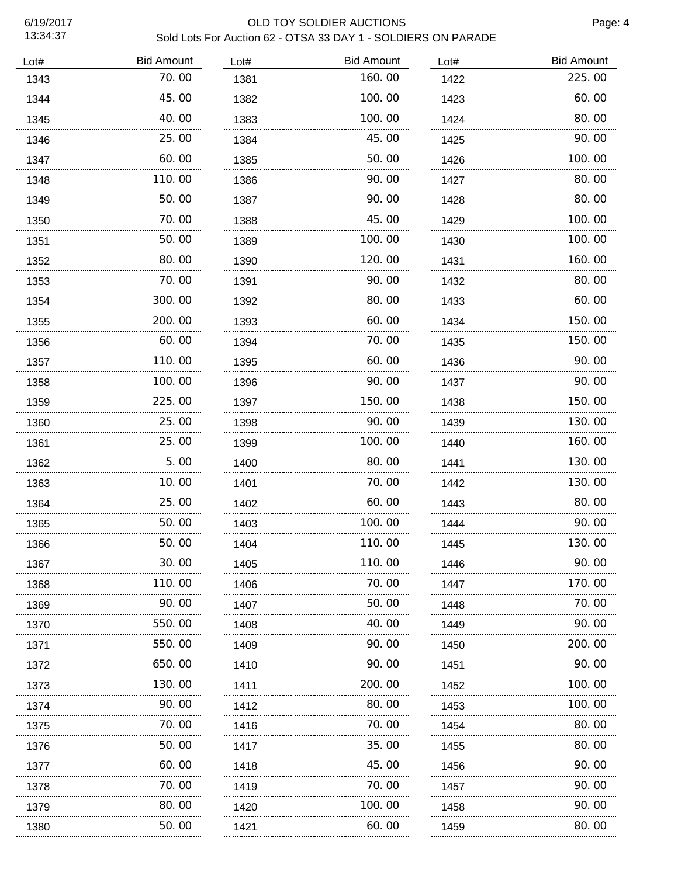$\ddotsc$ 

| Lot# | <b>Bid Amount</b> | Lot# | <b>Bid Amount</b> | Lot# | <b>Bid Amount</b> |
|------|-------------------|------|-------------------|------|-------------------|
| 1343 | 70.00             | 1381 | 160.00            | 1422 | 225.00            |
| 1344 | 45.00             | 1382 | 100.00            | 1423 | 60.00             |
| 1345 | 40.00             | 1383 | 100.00            | 1424 | 80.00             |
| 1346 | 25.00             | 1384 | 45.00             | 1425 | 90.00             |
| 1347 | 60.00             | 1385 | 50.00             | 1426 | 100.00            |
| 1348 | 110.00            | 1386 | 90.00             | 1427 | 80.00             |
| 1349 | 50.00             | 1387 | 90.00             | 1428 | 80.00             |
| 1350 | 70. 00            | 1388 | 45.00             | 1429 | 100.00            |
| 1351 | 50.00             | 1389 | 100. 00           | 1430 | 100.00            |
| 1352 | 80.00             | 1390 | 120.00            | 1431 | 160.00            |
| 1353 | 70.00             | 1391 | 90.00             | 1432 | 80.00             |
| 1354 | 300.00            | 1392 | 80.00             | 1433 | 60.00             |
| 1355 | 200.00            | 1393 | 60.00             | 1434 | 150.00            |
| 1356 | 60.00             | 1394 | 70.00             | 1435 | 150.00            |
| 1357 | 110.00            | 1395 | 60.00             | 1436 | 90.00             |
| 1358 | 100.00            | 1396 | 90.00             | 1437 | 90.00             |
| 1359 | 225.00            | 1397 | 150.00            | 1438 | 150.00            |
| 1360 | 25.00             | 1398 | 90.00             | 1439 | 130.00            |
| 1361 | 25.00             | 1399 | 100.00            | 1440 | 160.00            |
| 1362 | 5.00              | 1400 | 80.00             | 1441 | 130.00            |
| 1363 | 10.00             | 1401 | 70.00             | 1442 | 130.00            |
| 1364 | 25.00             | 1402 | 60.00             | 1443 | 80.00             |
| 1365 | 50.00             | 1403 | 100.00            | 1444 | 90.00             |
| 1366 | 50.00             | 1404 | 110.00            | 1445 | 130.00            |
| 1367 | 30. 00            | 1405 | 110.00            | 1446 | 90.00             |
| 1368 | 110.00            | 1406 | 70.00             | 1447 | 170.00            |
| 1369 | 90.00             | 1407 | 50. 00            | 1448 | 70.00             |
| 1370 | 550.00            | 1408 | 40.00             | 1449 | 90.00             |
| 1371 | 550.00            | 1409 | 90.00             | 1450 | 200.00            |
| 1372 | 650.00            | 1410 | 90.00             | 1451 | 90.00             |
| 1373 | 130. 00<br>.      | 1411 | 200. 00<br>.      | 1452 | 100. 00           |
| 1374 | 90.00             | 1412 | 80.00             | 1453 | 100.00            |
| 1375 | 70.00             | 1416 | 70.00             | 1454 | 80.00             |
| 1376 | 50.00             | 1417 | 35.00             | 1455 | 80.00             |
| 1377 | 60.00             | 1418 | 45.00             | 1456 | 90.00             |
| 1378 | 70.00             | 1419 | 70.00             | 1457 | 90.00             |
| 1379 | 80.00             | 1420 | 100. 00           | 1458 | 90.00             |
| 1380 | 50.00             | 1421 | 60.00             | 1459 | 80.00             |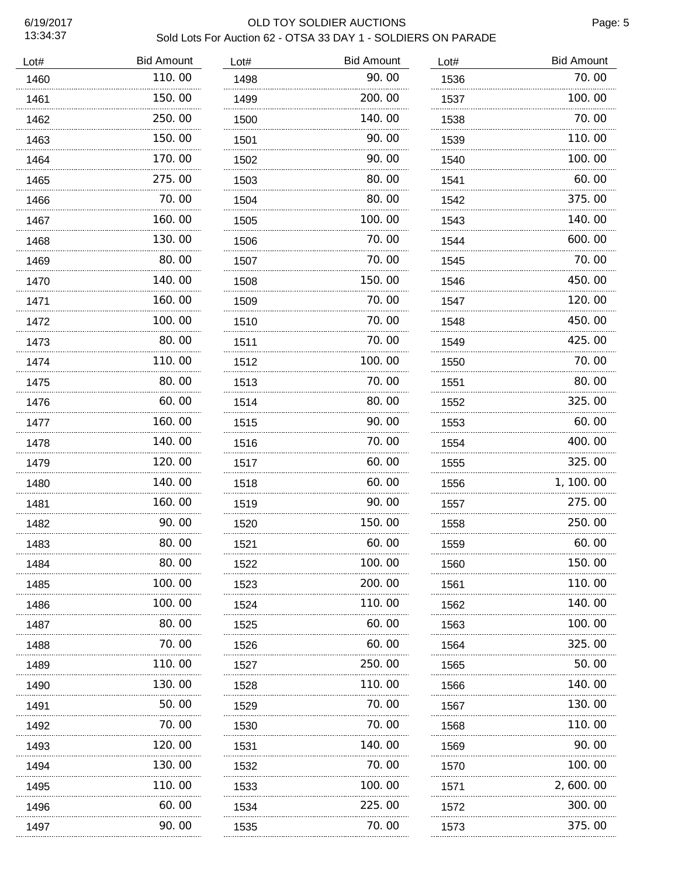| Lot# | <b>Bid Amount</b> | Lot# | <b>Bid Amount</b> | Lot# | <b>Bid Amount</b> |
|------|-------------------|------|-------------------|------|-------------------|
| 1460 | 110.00            | 1498 | 90.00             | 1536 | 70.00             |
| 1461 | 150.00            | 1499 | 200.00            | 1537 | 100.00            |
| 1462 | 250.00            | 1500 | 140.00            | 1538 | 70.00             |
| 1463 | 150.00            | 1501 | 90.00             | 1539 | 110.00            |
| 1464 | 170.00            | 1502 | 90.00             | 1540 | 100.00            |
| 1465 | 275.00            | 1503 | 80.00             | 1541 | 60.00             |
| 1466 | 70.00             | 1504 | 80.00             | 1542 | 375.00            |
| 1467 | 160.00            | 1505 | 100.00            | 1543 | 140.00            |
| 1468 | .<br>130.00       | 1506 | .<br>70.00        | 1544 | 600.00            |
| 1469 | 80.00             | 1507 | 70.00             | 1545 | 70.00             |
| 1470 | 140.00            | 1508 | 150.00            | 1546 | 450.00            |
| 1471 | 160.00            | 1509 | 70.00             | 1547 | 120.00            |
| 1472 | 100.00            | 1510 | 70.00             | 1548 | 450.00            |
| 1473 | 80.00             | 1511 | 70.00             | 1549 | 425.00            |
| 1474 | 110.00            | 1512 | 100.00            | 1550 | 70.00             |
| 1475 | 80.00             | 1513 | 70.00             | 1551 | 80.00             |
| 1476 | 60.00             | 1514 | 80.00             | 1552 | 325.00            |
| 1477 | 160.00            | 1515 | 90.00             | 1553 | 60.00             |
| 1478 | 140.00            | 1516 | 70.00             | 1554 | 400.00            |
| 1479 | 120.00            | 1517 | 60.00             | 1555 | 325.00            |
| 1480 | 140.00            | 1518 | 60.00             | 1556 | 1, 100.00         |
| 1481 | 160.00            | 1519 | 90.00             | 1557 | 275.00            |
| 1482 | 90.00             | 1520 | 150.00            | 1558 | 250.00            |
| 1483 | 80.00             | 1521 | 60.00             | 1559 | 60.00             |
| 1484 | 80.00             | 1522 | 100.00            | 1560 | 150.00            |
| 1485 | 100.00            | 1523 | 200.00            | 1561 | 110.00            |
| 1486 | 100.00            | 1524 | 110.00            | 1562 | 140.00            |
| 1487 | 80.00             | 1525 | 60.00             | 1563 | 100, 00           |
| 1488 | 70.00             | 1526 | 60.00             | 1564 | 325.00            |
| 1489 | 110. 00           | 1527 | 250.00            | 1565 | 50.00             |
| 1490 | .<br>130.00       | 1528 | .<br>110.00       | 1566 | 140.00            |
| 1491 | 50.00             | 1529 | 70.00             | 1567 | 130.00            |
| 1492 | 70.00             | 1530 | 70.00             | 1568 | 110.00            |
| 1493 | 120.00            | 1531 | 140.00            | 1569 | 90.00             |
| 1494 | 130.00            | 1532 | 70.00             | 1570 | 100.00            |
| 1495 | 110.00            | 1533 | 100.00            | 1571 | 2,600.00          |
| 1496 | 60.00             | 1534 | 225.00            | 1572 | 300.00            |
| 1497 | 90.00             | 1535 | 70.00             | 1573 | 375.00            |
|      |                   |      |                   |      |                   |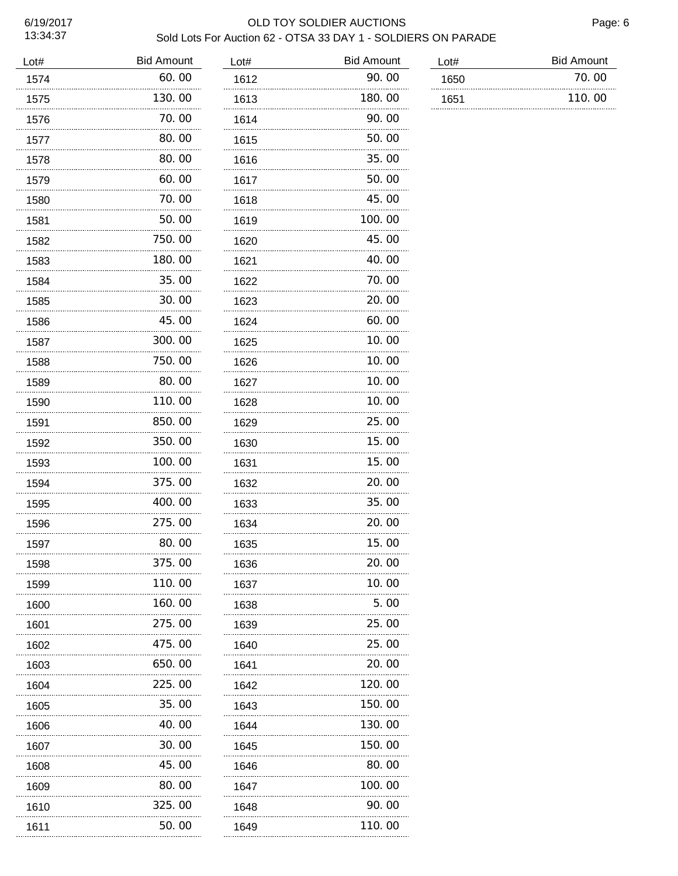| Lot# | <b>Bid Amount</b> | Lot# | <b>Bid Amount</b> | Lot# | <b>Bid Amount</b> |
|------|-------------------|------|-------------------|------|-------------------|
| 1574 | 60.00             | 1612 | 90.00             | 1650 | 70.00             |
| 1575 | 130.00            | 1613 | 180.00            | 1651 | 110.00            |
| 1576 | 70.00             | 1614 | 90.00             |      |                   |
| 1577 | 80.00             | 1615 | 50.00             |      |                   |
| 1578 | 80.00             | 1616 | 35.00             |      |                   |
| 1579 | 60.00             | 1617 | 50.00             |      |                   |
| 1580 | 70.00             | 1618 | 45.00             |      |                   |
| 1581 | 50.00             | 1619 | 100.00            |      |                   |
| 1582 | 750.00            | 1620 | 45.00             |      |                   |
| 1583 | 180.00            | 1621 | 40.00             |      |                   |
| 1584 | 35.00             | 1622 | 70.00             |      |                   |
| 1585 | 30.00             | 1623 | 20.00             |      |                   |
| 1586 | 45.00             | 1624 | 60.00             |      |                   |
| 1587 | 300.00            | 1625 | 10.00             |      |                   |
| 1588 | 750.00            | 1626 | 10.00             |      |                   |
| 1589 | 80.00             | 1627 | 10.00             |      |                   |
| 1590 | 110.00<br>        | 1628 | 10.00<br>.        |      |                   |
| 1591 | 850.00<br>.       | 1629 | 25.00<br>.        |      |                   |
| 1592 | 350.00            | 1630 | 15.00             |      |                   |
| 1593 | 100.00            | 1631 | 15.00             |      |                   |
| 1594 | 375.00            | 1632 | 20.00             |      |                   |
| 1595 | 400.00            | 1633 | 35.00             |      |                   |
| 1596 | 275.00            | 1634 | 20.00             |      |                   |
| 1597 | 80.00             | 1635 | 15.00             |      |                   |
| 1598 | 375.00            | 1636 | 20.00             |      |                   |
| 1599 | 110.00            | 1637 | 10.00             |      |                   |
| 1600 | 160.00            | 1638 | 5.00              |      |                   |
| 1601 | 275.00            | 1639 | 25.00             |      |                   |
| 1602 | 475.00            | 1640 | 25,00             |      |                   |
| 1603 | 650.00            | 1641 | 20.00             |      |                   |
| 1604 | 225.00            | 1642 | 120.00            |      |                   |
| 1605 | 35.00             | 1643 | 150.00            |      |                   |
| 1606 | 40.00             | 1644 | 130.00            |      |                   |
| 1607 | 30.00             | 1645 | 150.00            |      |                   |
| 1608 | 45.00             | 1646 | 80.00             |      |                   |
| 1609 | 80.00             | 1647 | 100.00            |      |                   |
| 1610 | 325.00<br>.       | 1648 | 90.00<br>.        |      |                   |
| 1611 | 50.00             | 1649 | 110. 00           |      |                   |
|      |                   |      |                   |      |                   |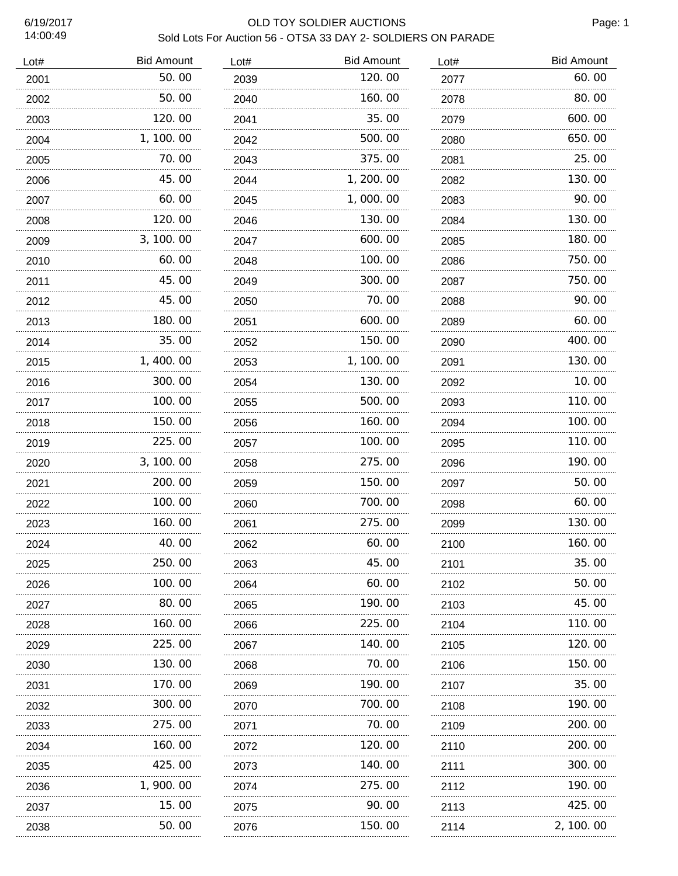45.00 60.00 120.00

 3,100.00 60.00 45.00

 45.00 180.00 35.00

 1,400.00 300.00 100.00 150.00

. . . . . . . . . . .

. . . . . . . . . . . . . .

 225.00 3,100.00 200.00 100.00

 160.00 40.00 250.00

 100.00 80.00

 160.00 225.00 130.00

...........

 170.00 300.00 275.00

 160.00 425.00 1,900.00 15.00 50.00

**Bid Amount** 60.00

| 6/19/2017<br>14:00:49 |                   |      | OLD TOY SOLDIER AUCTIONS<br>Sold Lots For Auction 56 - OTSA 33 DAY 2- SOLDIERS ON PARADE |      |  |
|-----------------------|-------------------|------|------------------------------------------------------------------------------------------|------|--|
| Lot#                  | <b>Bid Amount</b> | Lot# | <b>Bid Amount</b>                                                                        | Lot# |  |
| 2001                  | 50.00             | 2039 | 120.00                                                                                   | 2077 |  |
| 2002                  | 50.00             | 2040 | 160.00                                                                                   | 2078 |  |
| 2003                  | 120. 00           | 2041 | 35.00                                                                                    | 2079 |  |
| 2004                  | 1, 100. 00        | 2042 | 500.00                                                                                   | 2080 |  |
| 2005                  | 70. 00            | 2043 | 375,00                                                                                   | 2081 |  |

| 2040 | 160.00     | 2078 | 80.00     |
|------|------------|------|-----------|
| 2041 | 35.00      | 2079 | 600.00    |
| 2042 | 500.00     | 2080 | 650.00    |
| 2043 | 375.00     | 2081 | 25.00     |
| 2044 | 1, 200. 00 | 2082 | 130.00    |
| 2045 | 1,000.00   | 2083 | 90.00     |
| 2046 | 130.00     | 2084 | 130.00    |
| 2047 | 600.00     | 2085 | 180.00    |
| 2048 | 100.00     | 2086 | 750.00    |
| 2049 | 300.00     | 2087 | 750.00    |
| 2050 | 70.00      | 2088 | 90.00     |
| 2051 | 600.00     | 2089 | 60.00     |
| 2052 | 150.00     | 2090 | 400.00    |
| 2053 | 1, 100.00  | 2091 | 130.00    |
| 2054 | 130.00     | 2092 | 10.00     |
| 2055 | 500.00     | 2093 | 110.00    |
| 2056 | 160.00     | 2094 | 100.00    |
| 2057 | 100.00     | 2095 | 110.00    |
| 2058 | 275.00     | 2096 | 190.00    |
| 2059 | 150.00     | 2097 | 50.00     |
| 2060 | 700.00     | 2098 | 60.00     |
| 2061 | 275.00     | 2099 | 130.00    |
| 2062 | 60.00      | 2100 | 160.00    |
| 2063 | 45.00      | 2101 | 35.00     |
| 2064 | 60.00      | 2102 | 50.00     |
| 2065 | 190.00     | 2103 | 45.00     |
| 2066 | 225.00     | 2104 | 110.00    |
| 2067 | 140.00     | 2105 | 120.00    |
| 2068 | 70.00      | 2106 | 150.00    |
| 2069 | 190.00     | 2107 | 35.00     |
| 2070 | 700.00     | 2108 | 190.00    |
| 2071 | 70.00      | 2109 | 200.00    |
| 2072 | 120. 00    | 2110 | 200.00    |
| 2073 | 140. 00    | 2111 | 300.00    |
| 2074 | 275.00     | 2112 | 190.00    |
| 2075 | 90.00      | 2113 | 425.00    |
| 2076 | 150.00     | 2114 | 2, 100.00 |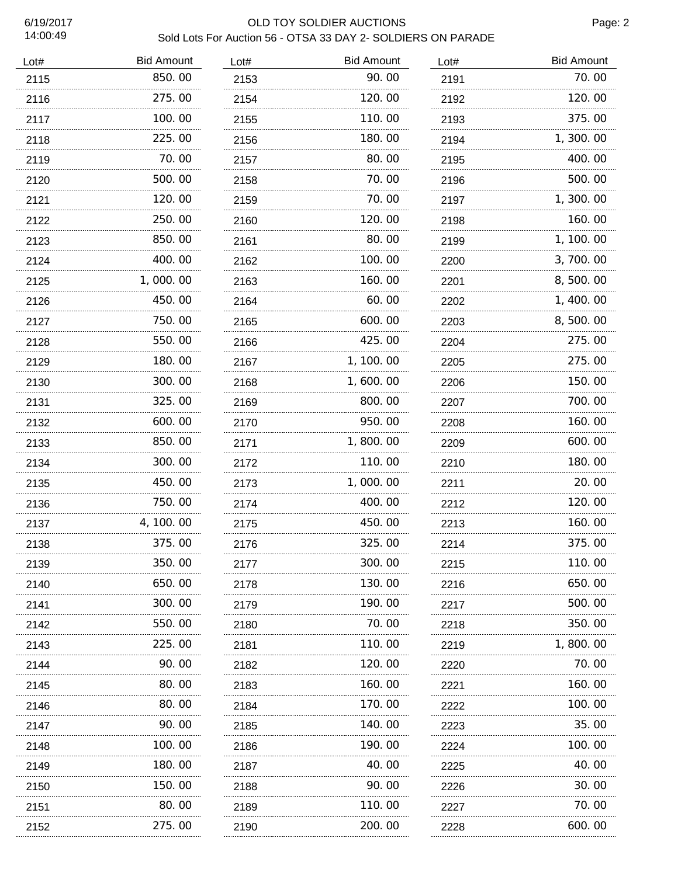| Lot# | <b>Bid Amount</b> | Lot# | <b>Bid Amount</b> | Lot#      | <b>Bid Amount</b> |
|------|-------------------|------|-------------------|-----------|-------------------|
| 2115 | 850.00            | 2153 | 90.00             | 2191      | 70.00             |
| 2116 | 275.00            | 2154 | 120.00            | 2192      | 120.00            |
| 2117 | 100.00            | 2155 | 110.00            | 2193      | 375.00            |
| 2118 | 225.00            | 2156 | 180.00            | 2194      | 1,300.00          |
| 2119 | 70.00             | 2157 | 80.00             | 2195      | 400.00            |
| 2120 | 500.00            | 2158 | 70.00             | 2196      | 500.00            |
| 2121 | 120.00            | 2159 | 70.00             | 2197      | 1,300.00          |
| 2122 | 250.00            | 2160 | 120.00            | 2198      | 160.00            |
| 2123 | 850.00            | 2161 | 80.00             | 2199      | 1, 100. 00        |
| 2124 | 400.00            | 2162 | 100.00            | 2200      | 3,700.00          |
| 2125 | 1,000.00          | 2163 | 160.00            | 2201      | 8,500.00          |
| 2126 | 450.00            | 2164 | 60.00             | 2202      | 1,400.00          |
| 2127 | 750.00            | 2165 | 600.00            | 2203      | 8,500.00          |
| 2128 | 550.00            | 2166 | 425.00            | 2204      | 275.00            |
| 2129 | 180.00            | 2167 | 1, 100.00         | 2205      | 275.00            |
| 2130 | 300.00            | 2168 | 1,600.00          | 2206      | 150.00            |
| 2131 | 325.00            | 2169 | 800.00            | 2207      | 700.00            |
| 2132 | 600.00            | 2170 | 950.00            | 2208      | 160.00            |
| 2133 | 850.00            | 2171 | 1,800.00          | 2209      | 600.00            |
| 2134 | 300.00            | 2172 | 110.00            | 2210      | 180.00            |
| 2135 | 450.00            | 2173 | 1,000.00          | 2211      | 20.00             |
| 2136 | 750.00            | 2174 | 400.00            | 2212      | 120.00            |
| 2137 | 4, 100. 00        | 2175 | 450.00            | 2213      | 160.00            |
| 2138 | 375.00            | 2176 | 325.00            | 2214      | 375.00            |
| 2139 | 350.00            | 2177 | 300.00            | 2215      | 110.00            |
| 2140 | 650.00            | 2178 | 130.00            | 2216      | 650.00            |
| 2141 | 300.00            | 2179 | 190.00            | 2217      | 500.00            |
| 2142 | 550.00            | 2180 | 70.00             | 2218      | 350.00            |
| 2143 | 225.00            | 2181 | 110.00            | 2219      | 1,800.00          |
| 2144 | 90.00             | 2182 | 120.00            | 2220      | 70. 00            |
| 2145 | 80.00             | 2183 | 160.00            | 2221      | 160. 00           |
| 2146 | 80.00             | 2184 | 170.00            | 2222      | 100.00            |
| 2147 | 90.00             | 2185 | 140.00            | 2223      | 35.00             |
| 2148 | 100.00            | 2186 | 190.00            | 2224      | 100.00            |
| 2149 | 180. 00           | 2187 | 40.00             | 2225      | 40.00             |
| 2150 | 150.00            | 2188 | 90.00             | 2226      | 30. 00            |
| 2151 | 80.00             | 2189 | 110.00            | 2227      | 70.00             |
| 2152 | 275.00            | 2190 | 200.00            | 2228<br>. | 600.00            |
|      |                   |      |                   |           |                   |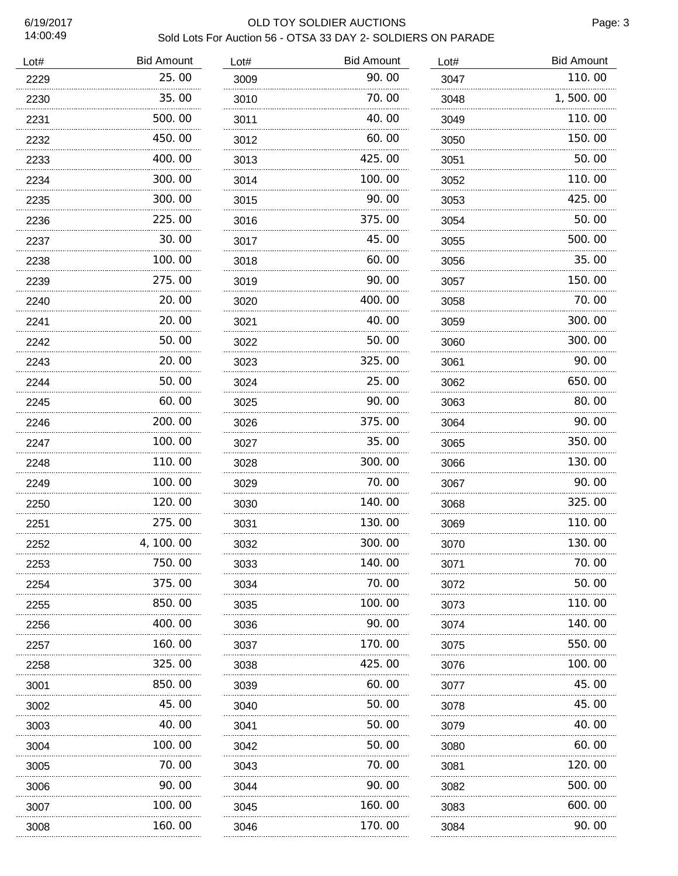$L$ ot#

# 6/19/2017 OLD TOY SOLDIER AUCTIONS

**Bid Amount** 

| ULD TOT SULDIER AUGTIONS<br>Sold Lots For Auction 56 - OTSA 33 DAY 2- SOLDIERS ON PARADE |       |      |                   |      |  |  |  |
|------------------------------------------------------------------------------------------|-------|------|-------------------|------|--|--|--|
| <b>Bid Amount</b>                                                                        |       | Lot# | <b>Bid Amount</b> | Lot# |  |  |  |
|                                                                                          | 25.00 | 3009 | 90.00             | 3047 |  |  |  |
|                                                                                          | חח אד | 2010 |                   | 2010 |  |  |  |

| 2229 | 25.00      | 3009 | 90.00       | 3047 | 110.00   |
|------|------------|------|-------------|------|----------|
| 2230 | 35.00      | 3010 | 70.00       | 3048 | 1,500.00 |
| 2231 | 500.00     | 3011 | 40.00       | 3049 | 110.00   |
| 2232 | 450.00     | 3012 | 60.00       | 3050 | 150.00   |
| 2233 | 400.00     | 3013 | 425.00      | 3051 | 50.00    |
| 2234 | 300.00     | 3014 | 100.00      | 3052 | 110.00   |
| 2235 | 300.00     | 3015 | 90.00       | 3053 | 425.00   |
| 2236 | 225.00     | 3016 | 375.00      | 3054 | 50.00    |
| 2237 | 30.00      | 3017 | 45.00       | 3055 | 500.00   |
| 2238 | 100.00     | 3018 | 60.00       | 3056 | 35.00    |
| 2239 | 275.00     | 3019 | 90.00       | 3057 | 150.00   |
| 2240 | 20.00      | 3020 | 400.00      | 3058 | 70.00    |
| 2241 | 20.00      | 3021 | 40.00       | 3059 | 300.00   |
| 2242 | 50.00      | 3022 | 50.00       | 3060 | 300.00   |
| 2243 | 20.00      | 3023 | 325.00      | 3061 | 90.00    |
| 2244 | 50.00      | 3024 | 25.00       | 3062 | 650.00   |
| 2245 | 60.00      | 3025 | 90.00       | 3063 | 80.00    |
| 2246 | 200.00     | 3026 | 375.00      | 3064 | 90.00    |
| 2247 | 100.00     | 3027 | 35.00       | 3065 | 350.00   |
| 2248 | 110.00     | 3028 | 300.00      | 3066 | 130.00   |
| 2249 | 100.00     | 3029 | 70.00       | 3067 | 90.00    |
| 2250 | 120.00     | 3030 | 140.00      | 3068 | 325.00   |
| 2251 | 275.00     | 3031 | 130.00<br>. | 3069 | 110.00   |
| 2252 | 4, 100. 00 | 3032 | 300.00      | 3070 | 130.00   |
| 2253 | 750.00     | 3033 | 140.00      | 3071 | 70.00    |
| 2254 | 375.00     | 3034 | 70. 00      | 3072 | 50.00    |
| 2255 | 850.00     | 3035 | 100.00      | 3073 | 110.00   |
| 2256 | 400.00     | 3036 | 90.00       | 3074 | 140.00   |
| 2257 | 160. 00    | 3037 | 170.00      | 3075 | 550.00   |
| 2258 | 325.00     | 3038 | 425.00      | 3076 | 100.00   |
| 3001 | 850,00     | 3039 | 60.00       | 3077 | 45.00    |
| 3002 | 45.00      | 3040 | 50.00       | 3078 | 45.00    |
| 3003 | 40.00      | 3041 | 50. 00      | 3079 | 40.00    |
| 3004 | 100.00     | 3042 | 50.00       | 3080 | 60.00    |
| 3005 | 70.00      | 3043 | 70. 00      | 3081 | 120.00   |
| 3006 | 90.00      | 3044 | 90.00       | 3082 | 500.00   |
| 3007 | 100.00     | 3045 | 160.00      | 3083 | 600.00   |
| 3008 | 160.00     | 3046 | 170.00      | 3084 | 90.00    |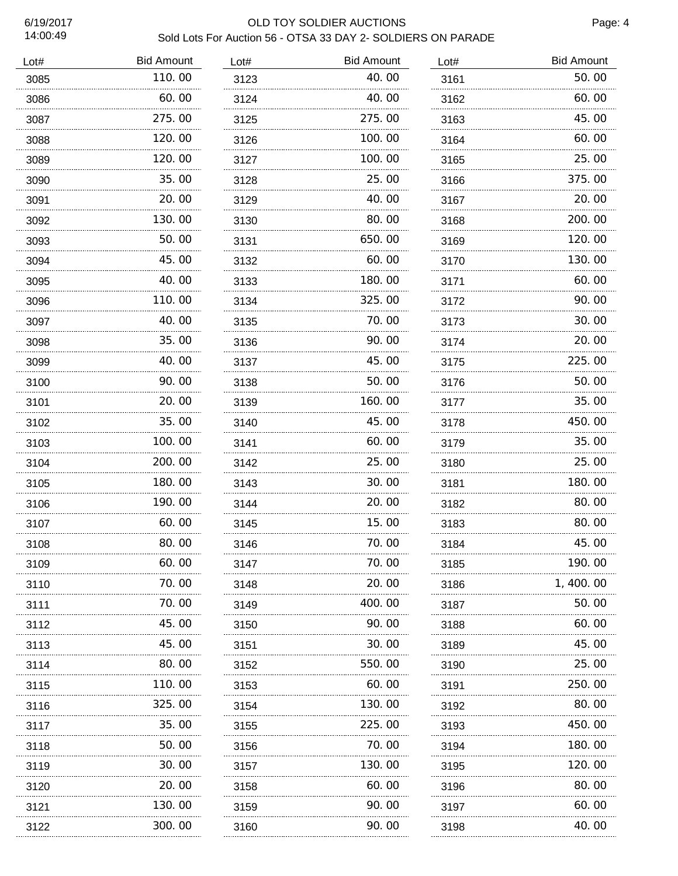| Lot# | <b>Bid Amount</b> | Lot# | <b>Bid Amount</b> | Lot# | <b>Bid Amount</b> |
|------|-------------------|------|-------------------|------|-------------------|
| 3085 | 110.00            | 3123 | 40.00             | 3161 | 50.00             |
| 3086 | 60.00             | 3124 | 40.00             | 3162 | 60.00             |
| 3087 | 275.00            | 3125 | 275.00            | 3163 | 45.00             |
| 3088 | 120.00            | 3126 | 100.00            | 3164 | 60.00             |
| 3089 | 120.00            | 3127 | 100.00            | 3165 | 25.00             |
| 3090 | 35.00             | 3128 | 25.00             | 3166 | 375.00            |
| 3091 | 20.00             | 3129 | 40.00             | 3167 | 20.00             |
| 3092 | 130.00            | 3130 | 80.00             | 3168 | 200.00            |
| 3093 | 50.00             | 3131 | 650.00            | 3169 | 120.00            |
| 3094 | 45.00             | 3132 | 60.00             | 3170 | 130.00            |
| 3095 | 40.00             | 3133 | 180.00            | 3171 | 60.00             |
| 3096 | 110.00            | 3134 | 325.00            | 3172 | 90.00             |
| 3097 | 40.00             | 3135 | 70.00             | 3173 | 30.00             |
| 3098 | 35.00             | 3136 | 90.00             | 3174 | 20.00             |
| 3099 | 40.00             | 3137 | 45.00             | 3175 | 225.00            |
| 3100 | 90.00             | 3138 | 50.00             | 3176 | 50.00             |
| 3101 | 20.00             | 3139 | 160.00            | 3177 | 35.00             |
| 3102 | 35.00             | 3140 | 45.00             | 3178 | 450.00            |
| 3103 | 100.00            | 3141 | 60.00             | 3179 | 35.00             |
| 3104 | 200.00            | 3142 | 25.00             | 3180 | 25.00             |
| 3105 | 180.00            | 3143 | 30.00             | 3181 | 180.00            |
| 3106 | 190.00            | 3144 | 20.00             | 3182 | 80.00             |
| 3107 | 60.00             | 3145 | 15.00             | 3183 | 80.00             |
| 3108 | 80.00             | 3146 | 70.00             | 3184 | 45.00             |
| 3109 | 60.00             | 3147 | 70. 00            | 3185 | 190.00            |
| 3110 | 70.00             | 3148 | 20, 00            | 3186 | 1, 400. 00        |
| 3111 | 70.00             | 3149 | 400.00            | 3187 | 50.00             |
| 3112 | 45.00             | 3150 | 90.00             | 3188 | 60. 00            |
| 3113 | 45.00             | 3151 | 30.00             | 3189 | 45.00             |
| 3114 | 80.00             | 3152 | 550.00            | 3190 | 25. 00            |
| 3115 | 110. 00           | 3153 | 60.00             | 3191 | 250.00            |
| 3116 | 325.00            | 3154 | 130.00            | 3192 | 80.00             |
| 3117 | 35.00             | 3155 | 225.00            | 3193 | 450.00            |
| 3118 | 50.00             | 3156 | 70.00             | 3194 | 180.00            |
| 3119 | 30.00             | 3157 | 130.00            | 3195 | 120.00            |
| 3120 | 20.00             | 3158 | 60.00             | 3196 | 80.00             |
| 3121 | 130.00            | 3159 | 90.00             | 3197 | 60.00             |
| 3122 | 300.00            | 3160 | 90.00             | 3198 | 40.00             |
|      |                   |      |                   |      |                   |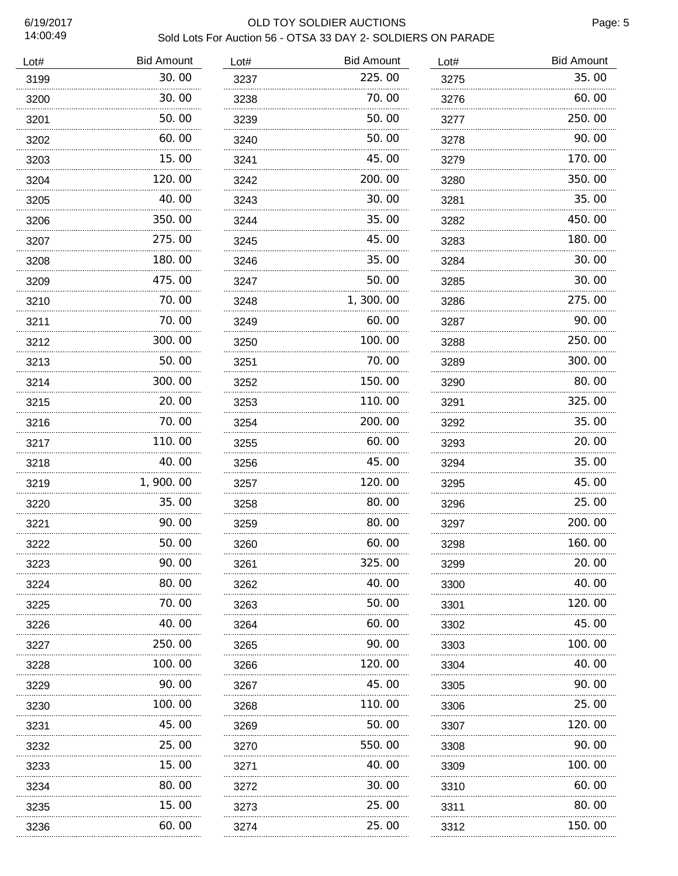60.00 15.00 120.00 40.00 350.00

 275.00 180.00 475.00

 70.00 70.00

 300.00 50.00 300.00 20.00 70.00 110.00

 40.00 1,900.00 35.00

 90.00 50.00 90.00

 80.00 70.00

. . . . . . . . . . .

 40.00 250.00 100.00 90.00 100.00 45.00

...........

 25.00 15.00 80.00 15.00 60.00

### 6/19/2017 OLD TOY SOLDIER AUCTIONS

#### Sold Lots For Auction 56 - OTSA 33 DAY 2- SOLDIERS ON PARADE Lot# Bid Amount 30.00 30.00 50.00 Lot# Bid Amount 225.00 70.00 Lot# Bid Amount

| 3237 | 225.00   | 3275 | 35.00  |
|------|----------|------|--------|
| 3238 | 70.00    | 3276 | 60.00  |
| 3239 | 50.00    | 3277 | 250.00 |
| 3240 | 50.00    | 3278 | 90.00  |
| 3241 | 45.00    | 3279 | 170.00 |
| 3242 | 200.00   | 3280 | 350.00 |
| 3243 | 30.00    | 3281 | 35.00  |
| 3244 | 35.00    | 3282 | 450.00 |
| 3245 | 45.00    | 3283 | 180.00 |
| 3246 | 35.00    | 3284 | 30.00  |
| 3247 | 50.00    | 3285 | 30.00  |
| 3248 | 1,300.00 | 3286 | 275.00 |
| 3249 | 60.00    | 3287 | 90.00  |
| 3250 | 100.00   | 3288 | 250.00 |
| 3251 | 70.00    | 3289 | 300.00 |
| 3252 | 150.00   | 3290 | 80.00  |
| 3253 | 110.00   | 3291 | 325.00 |
| 3254 | 200.00   | 3292 | 35.00  |
| 3255 | 60.00    | 3293 | 20.00  |
| 3256 | 45.00    | 3294 | 35.00  |
| 3257 | 120.00   | 3295 | 45.00  |
| 3258 | 80.00    | 3296 | 25.00  |
| 3259 | 80.00    | 3297 | 200.00 |
| 3260 | 60.00    | 3298 | 160.00 |
| 3261 | 325.00   | 3299 | 20,00  |
| 3262 | 40.00    | 3300 | 40.00  |
| 3263 | 50.00    | 3301 | 120.00 |
| 3264 | 60.00    | 3302 | 45.00  |
| 3265 | 90.00    | 3303 | 100.00 |
| 3266 | 120. 00  | 3304 | 40. OO |
| 3267 | 45.00    | 3305 | 90.00  |
| 3268 | 110.00   | 3306 | 25.00  |
| 3269 | 50.00    | 3307 | 120.00 |
| 3270 | 550.00   | 3308 | 90.00  |
| 3271 | 40. OO   | 3309 | 100.00 |
| 3272 | 30.00    | 3310 | 60.00  |
| 3273 | 25.00    | 3311 | 80.00  |
| 3274 | 25.00    | 3312 | 150.00 |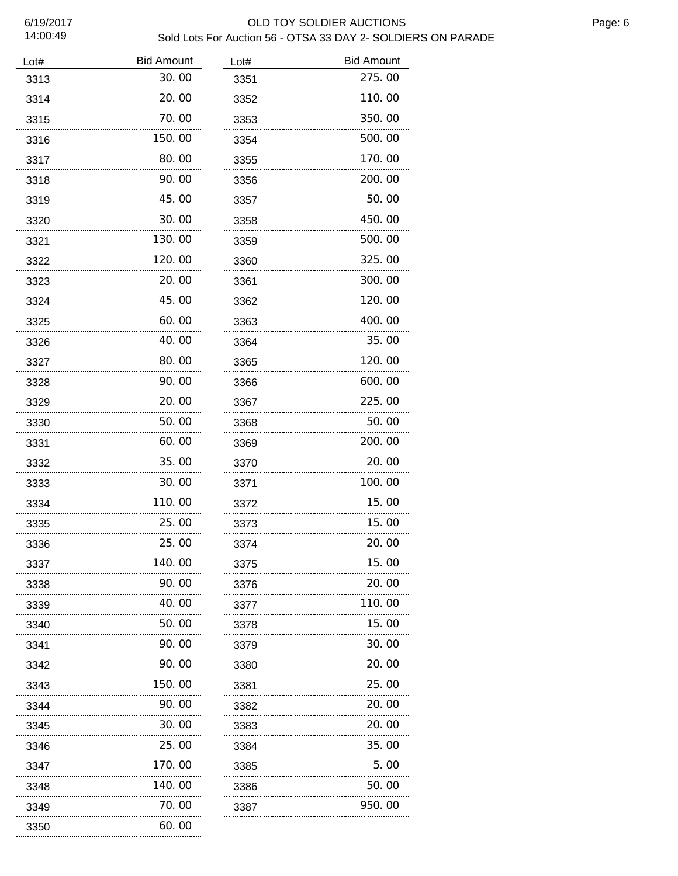| Lot# | <b>Bid Amount</b> | Lot# | <b>Bid Amount</b> |
|------|-------------------|------|-------------------|
| 3313 | 30.00             | 3351 | 275.00            |
| 3314 | 20.00             | 3352 | 110.00            |
| 3315 | 70.00             | 3353 | 350.00            |
| 3316 | 150.00            | 3354 | 500.00            |
| 3317 | 80.00             | 3355 | 170.00            |
| 3318 | 90.00             | 3356 | 200.00            |
| 3319 | 45.00             | 3357 | 50.00             |
| 3320 | 30.00             | 3358 | 450.00            |
| 3321 | 130.00            | 3359 | 500.00            |
| 3322 | 120.00            | 3360 | 325.00            |
| 3323 | 20.00             | 3361 | 300.00            |
| 3324 | 45.00             | 3362 | 120.00            |
| 3325 | 60.00             | 3363 | 400.00            |
| 3326 | 40.00             | 3364 | 35.00             |
| 3327 | 80.00             | 3365 | 120.00            |
| 3328 | 90.00             | 3366 | 600.00            |
| 3329 | 20.00             | 3367 | 225.00            |
| 3330 | 50.00             | 3368 | 50. 00            |
| 3331 | 60.00             | 3369 | 200.00            |
| 3332 | 35.00             | 3370 | 20.00             |
| 3333 | 30.00             | 3371 | 100.00            |
| 3334 | 110.00            | 3372 | 15.00             |
| 3335 | 25.00             | 3373 | 15.00             |
| 3336 | 25.00             | 3374 | 20.00             |
| 3337 | 140.00            | 3375 | 15.00             |
| 3338 | 90.00             | 3376 | 20.00             |
| 3339 | 40.00             | 3377 | 110.00            |
| 3340 | 50.00             | 3378 | 15.00             |
| 3341 | 90.00             | 3379 | 30.00             |
| 3342 | 90.00             | 3380 | 20.00             |
| 3343 | 150. 00           | 3381 | 25.00             |
| 3344 | 90.00             | 3382 | 20. 00            |
| 3345 | 30.00             | 3383 | 20.00             |
| 3346 | 25.00             | 3384 | 35.00             |
| 3347 | 170. 00           | 3385 | 5.00              |
| 3348 | 140. 00           | 3386 | 50.00             |
| 3349 | 70. 00            | 3387 | 950.00            |
| 3350 | 60.00             |      |                   |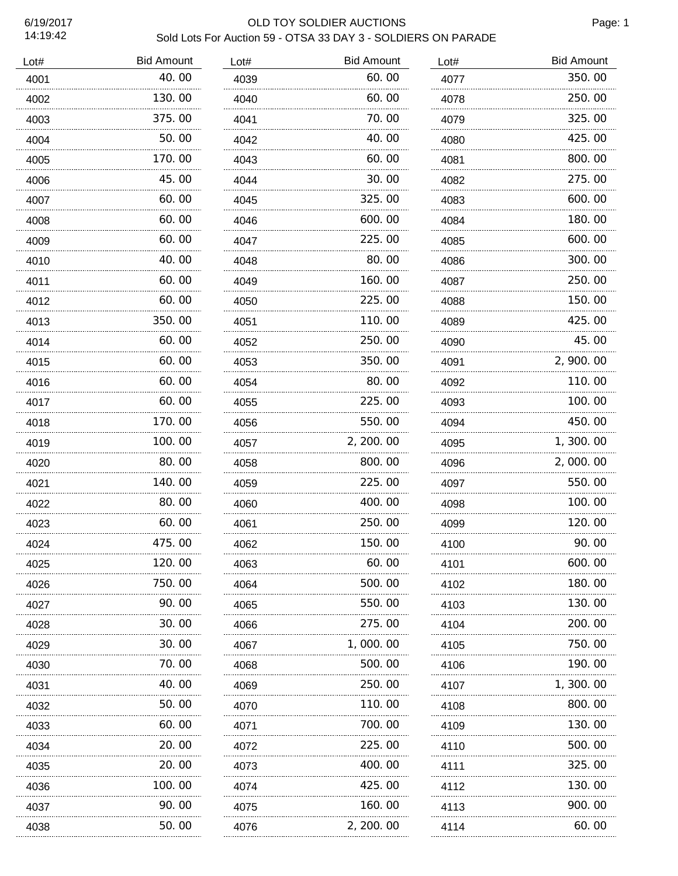6/19/2017<br>14:19:42

# OLD TOY SOLDIER AUCTIONS

|                   |      | Sold Lots For Auction 59 - OTSA 33 DAY 3 - SOLDIERS ON PARADE |      |
|-------------------|------|---------------------------------------------------------------|------|
| <b>Bid Amount</b> | Lot# | <b>Bid Amount</b>                                             | Lot# |
| $\sim$ $\sim$     |      | $\sim$ $\sim$                                                 |      |

| Lot# | <b>Bid Amount</b> | Lot# | <b>Bid Amount</b> | Lot# | <b>Bid Amount</b> |
|------|-------------------|------|-------------------|------|-------------------|
| 4001 | 40.00             | 4039 | 60.00             | 4077 | 350.00            |
| 4002 | 130.00            | 4040 | 60.00             | 4078 | 250.00            |
| 4003 | 375.00            | 4041 | 70.00             | 4079 | 325.00            |
| 4004 | 50.00             | 4042 | 40.00             | 4080 | 425.00            |
| 4005 | 170.00            | 4043 | 60.00             | 4081 | 800.00            |
| 4006 | 45.00             | 4044 | 30.00             | 4082 | 275.00            |
| 4007 | 60.00             | 4045 | 325.00            | 4083 | 600.00            |
| 4008 | 60.00             | 4046 | 600.00            | 4084 | 180.00            |
| 4009 | 60.00             | 4047 | 225.00            | 4085 | 600.00            |
| 4010 | 40.00             | 4048 | 80.00             | 4086 | 300.00            |
| 4011 | 60.00             | 4049 | 160.00            | 4087 | 250.00            |
| 4012 | 60.00             | 4050 | 225.00            | 4088 | 150.00            |
| 4013 | 350.00            | 4051 | 110.00            | 4089 | 425.00            |
| 4014 | 60.00             | 4052 | 250.00            | 4090 | 45.00             |
| 4015 | 60.00             | 4053 | 350.00            | 4091 | 2, 900. 00        |
| 4016 | 60.00             | 4054 | 80.00             | 4092 | 110.00            |
| 4017 | 60.00             | 4055 | 225.00            | 4093 | 100.00            |
| 4018 | 170.00            | 4056 | 550.00            | 4094 | 450.00            |
| 4019 | 100.00            | 4057 | 2, 200. 00        | 4095 | 1, 300. 00        |
| 4020 | 80.00             | 4058 | 800.00            | 4096 | 2,000.00          |
| 4021 | 140.00            | 4059 | 225.00            | 4097 | 550.00            |
| 4022 | 80.00             | 4060 | 400.00            | 4098 | 100.00            |
| 4023 | 60.00             | 4061 | 250.00            | 4099 | 120.00            |
| 4024 | 475.00            | 4062 | 150.00            | 4100 | 90.00             |
| 4025 | 120.00            | 4063 | 60.00             | 4101 | 600, 00           |
| 4026 | 750.00            | 4064 | 500.00            | 4102 | 180.00            |
| 4027 | 90.00             | 4065 | 550.00            | 4103 | 130.00            |
| 4028 | 30.00             | 4066 | 275.00            | 4104 | 200.00            |
| 4029 | 30.00             | 4067 | 1,000.00          | 4105 | 750.00            |
| 4030 | 70.00             | 4068 | 500.00            | 4106 | 190.00            |
| 4031 | 40.00             | 4069 | 250.00            | 4107 | 1,300.00          |
| 4032 | 50.00             | 4070 | 110.00            | 4108 | 800.00            |
| 4033 | 60.00             | 4071 | 700.00            | 4109 | 130.00            |
| 4034 | 20.00             | 4072 | 225.00            | 4110 | 500.00            |
| 4035 | .<br>20.00        | 4073 | 400.00            | 4111 | 325.00            |
| 4036 | 100. 00           | 4074 | 425.00            | 4112 | 130.00            |
| 4037 | .<br>90.00        | 4075 | .<br>160.00       | 4113 | 900.00            |
| 4038 | 50.00             | 4076 | 2, 200. 00        | 4114 | 60.00             |
|      |                   |      |                   |      |                   |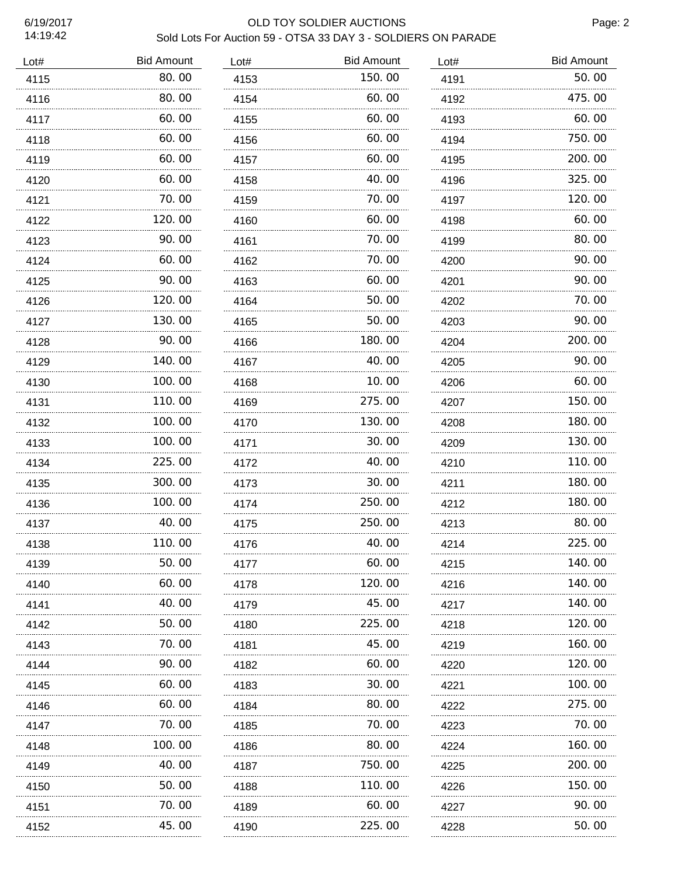### 6/19/2017 OLD TOY SOLDIER AUCTIONS Sold Lots For Auction 59 - OTSA 33 DAY 3 - SOLDIERS ON PARADE

| Lot# | <b>Bid Amount</b> | Lot# | <b>Bid Amount</b> | Lot# | <b>Bid Amount</b> |
|------|-------------------|------|-------------------|------|-------------------|
| 4115 | 80.00             | 4153 | 150.00            | 4191 | 50.00             |
| 4116 | 80.00             | 4154 | 60.00             | 4192 | 475.00            |
| 4117 | 60.00             | 4155 | 60.00             | 4193 | 60.00             |
| 4118 | 60.00             | 4156 | 60.00             | 4194 | 750.00            |
| 4119 | 60.00             | 4157 | 60.00             | 4195 | 200.00            |
| 4120 | 60.00             | 4158 | 40.00             | 4196 | 325.00            |
| 4121 | 70.00             | 4159 | 70.00             | 4197 | 120.00            |
| 4122 | 120.00            | 4160 | 60.00             | 4198 | 60.00             |
| 4123 | 90.00             | 4161 | 70.00             | 4199 | 80.00             |
| 4124 | 60.00             | 4162 | 70.00             | 4200 | 90.00             |
| 4125 | 90.00             | 4163 | 60.00             | 4201 | 90.00             |
| 4126 | 120.00            | 4164 | 50.00             | 4202 | 70.00             |
| 4127 | 130.00            | 4165 | 50.00             | 4203 | 90.00             |
| 4128 | 90.00             | 4166 | 180.00            | 4204 | 200.00            |
| 4129 | 140.00            | 4167 | 40.00             | 4205 | 90.00             |
| 4130 | 100.00            | 4168 | 10.00             | 4206 | 60.00             |
| 4131 | 110.00            | 4169 | 275.00            | 4207 | 150.00            |
| 4132 | 100.00            | 4170 | 130.00            | 4208 | 180.00            |
| 4133 | 100.00            | 4171 | 30.00             | 4209 | 130.00            |
| 4134 | 225.00            | 4172 | 40.00             | 4210 | 110.00            |
| 4135 | 300.00            | 4173 | 30.00             | 4211 | 180.00            |
| 4136 | 100. 00           | 4174 | 250.00            | 4212 | 180.00            |
| 4137 | 40.00             | 4175 | 250.00            | 4213 | 80.00             |
| 4138 | 110. 00           | 4176 | 40. OO            | 4214 | 225. UU           |
| 4139 | 50.00             | 4177 | 60.00             | 4215 | 140.00            |
| 4140 | 60.00             | 4178 | 120. 00           | 4216 | 140.00            |
| 4141 | 40.00             | 4179 | 45.00             | 4217 | 140. 00           |
| 4142 | 50.00             | 4180 | 225.00            | 4218 | 120.00            |
| 4143 | 70.00             | 4181 | 45.00             | 4219 | 160.00            |
| 4144 | 90.00             | 4182 | 60.00             | 4220 | 120.00            |
| 4145 | 60.00             | 4183 | 30.00             | 4221 | 100.00            |
| 4146 | 60.00             | 4184 | 80.00             | 4222 | 275.00            |
| 4147 | 70.00             | 4185 | 70.00             | 4223 | 70.00             |
| 4148 | 100.00            | 4186 | 80.00             | 4224 | 160.00            |
| 4149 | 40.00             | 4187 | 750.00            | 4225 | 200.00            |
| 4150 | 50.00             | 4188 | 110.00            | 4226 | 150.00            |
| 4151 | 70.00             | 4189 | 60.00             | 4227 | 90.00             |
| 4152 | 45.00             | 4190 | 225.00            | 4228 | 50.00             |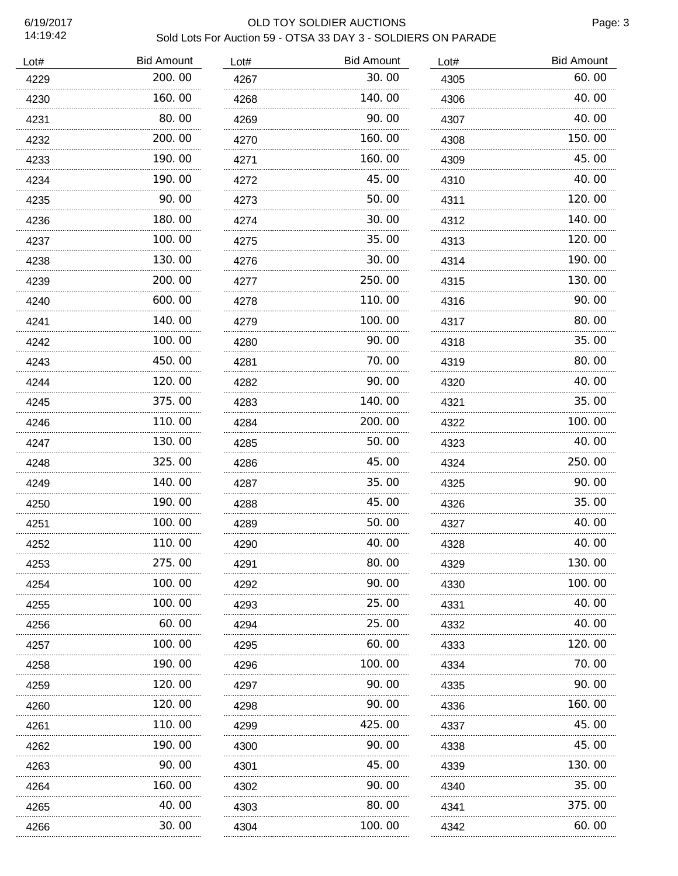## 6/19/2017 OLD TOY SOLDIER AUCTIONS

### Sold Lots For Auction 59 - OTSA 33 DAY 3 - SOLDIERS ON PARADE Lot# Bid Amount 4268 1 Lot# Bid Amount

| LOL# | <b>DIU AITIUUITI</b> | LOL# | וווטטווור טוט |
|------|----------------------|------|---------------|
| 4267 | 30.00                | 4305 | 60.00         |
| 4268 | 140.00               | 4306 | 40.00         |
| 4269 | 90.00                | 4307 | 40.00         |
| 4270 | 160.00               | 4308 | 150.00        |
| 4271 | 160.00               | 4309 | 45.00         |
| 4272 | 45.00                | 4310 | 40.00         |
| 4273 | 50.00                | 4311 | 120.00        |
| 4274 | 30.00                | 4312 | 140.00        |
| 4275 | 35.00                | 4313 | 120.00        |
| 4276 | 30.00                | 4314 | 190.00        |
| 4277 | 250.00               | 4315 | 130.00        |
| 4278 | 110.00               | 4316 | 90.00         |
| 4279 | 100.00               | 4317 | 80.00         |
| 4280 | 90.00                | 4318 | 35.00         |
| 4281 | 70.00                | 4319 | 80.00         |
| 4282 | 90.00                | 4320 | 40.00         |
| 4283 | 140.00               | 4321 | 35.00         |
| 4284 | 200.00               | 4322 | 100.00        |
| 4285 | 50.00                | 4323 | 40.00         |
| 4286 | 45.00                | 4324 | 250.00        |
| 4287 | 35.00                | 4325 | 90.00         |
| 4288 | 45.00                | 4326 | 35.00         |
| 4289 | 50.00                | 4327 | 40.00         |
| 4290 | 40.00                | 4328 | 40.00         |
| 4291 | 80.00                | 4329 | 130.00        |
| 4292 | 90.00                | 4330 | 100.00        |
| 4293 | 25.00                | 4331 | 40.00         |
| 4294 | 25.00                | 4332 | 40.00         |
| 4295 | 60.00                | 4333 | 120.00        |
| 4296 | 100.00               | 4334 | 70. 00        |
| 4297 | 90.00                | 4335 | 90.00         |
| 4298 | 90.00                | 4336 | 160.00        |
| 4299 | 425.00               | 4337 | 45.00         |
| 4300 | 90. 00               | 4338 | 45. 00        |
| 4301 | 45.00                | 4339 | 130.00        |
| 4302 | 90.00                | 4340 | 35.00         |
| 4303 | 80.00                | 4341 | 375.00        |
| 4304 | 100.00               | 4342 | 60.00         |

| Lot# | <b>Bid Amount</b> |
|------|-------------------|
| 4229 | 200.00            |
| 4230 | 160.00            |
| 4231 | 80.00             |
| 4232 | 200.00            |
| 4233 | 190.00            |
| 4234 | 190.00            |
| 4235 | 90.00             |
| 4236 | 180.00            |
| 4237 | 100.00            |
| 4238 | 130.00            |
| 4239 | 200.00            |
| 4240 | 600.00            |
| 4241 | 140.00            |
| 4242 | 100.00            |
| 4243 | 450.00            |
| 4244 | 120.00            |
| 4245 | 375.00            |
| 4246 | 110.00            |
| 4247 | 130.00            |
| 4248 | 325.00            |
| 4249 | 140.00            |
| 4250 | 190.00            |
| 4251 | 100.00            |
| 4252 | 110.00            |
| 4253 | 275.00            |
| 4254 | 100.00<br>.       |
| 4255 | 100.00            |
| 4256 | 60.00             |
| 4257 | 100.00            |
| 4258 | 190.00            |
| 4259 | 120.00            |
| 4260 | 120.00            |
| 4261 | 110.00            |
| 4262 | 190.00            |
| 4263 | 90.00             |
| 4264 | 160.00            |
| 4265 | 40.00             |
| 4266 | 30.00             |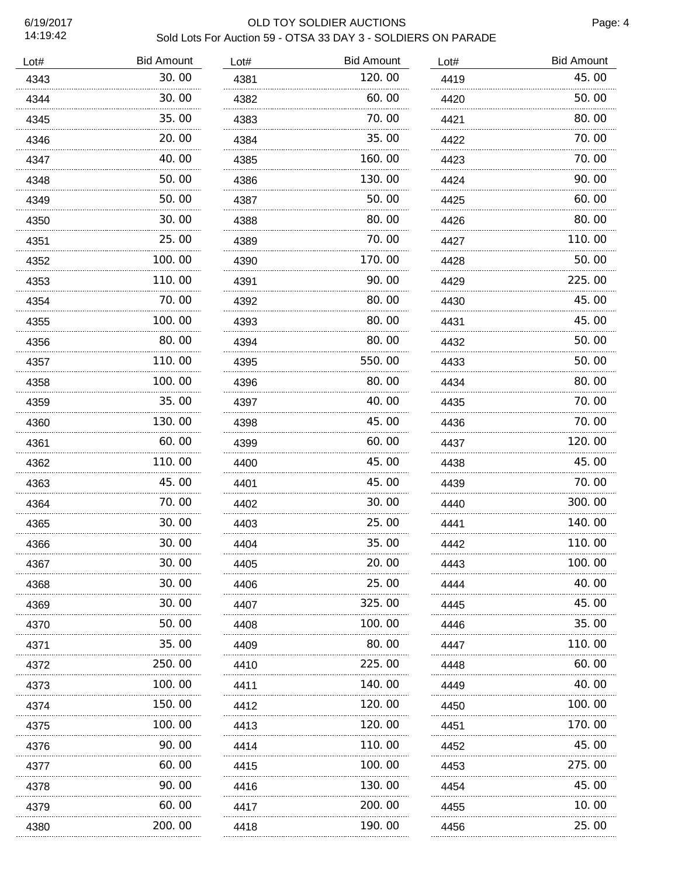| 17.13.74 | SOID LOTS FOR AUCTION 59 - OT SA 33 DAY 3 - SOLDIERS ON PARADE |      |                   |      |                   |
|----------|----------------------------------------------------------------|------|-------------------|------|-------------------|
| Lot#     | <b>Bid Amount</b>                                              | Lot# | <b>Bid Amount</b> | Lot# | <b>Bid Amount</b> |
| 4343     | 30.00                                                          | 4381 | 120.00            | 4419 | 45.00             |
| 4344     | 30.00                                                          | 4382 | 60.00             | 4420 | 50.00             |
| 4345     | 35.00                                                          | 4383 | 70.00             | 4421 | 80.00             |
| 4346     | 20.00                                                          | 4384 | 35.00             | 4422 | 70.00             |
| 4347     | 40.00                                                          | 4385 | 160.00            | 4423 | 70.00             |
| 4348     | 50.00                                                          | 4386 | 130.00            | 4424 | 90.00             |
| 4349     | 50.00                                                          | 4387 | 50.00             | 4425 | 60.00             |
| 4350     | 30.00                                                          | 4388 | 80.00             | 4426 | 80.00             |
| 4351     | 25.00                                                          | 4389 | 70.00             | 4427 | 110.00            |
| 4352     | 100.00                                                         | 4390 | 170.00            | 4428 | 50.00             |
| 4353     | 110.00                                                         | 4391 | 90.00             | 4429 | 225.00            |
| 4354     | 70.00                                                          | 4392 | 80.00             | 4430 | 45.00             |
| 4355     | 100.00                                                         | 4393 | 80.00             | 4431 | 45.00             |
| 4356     | 80.00                                                          | 4394 | 80.00             | 4432 | 50.00             |
| 4357     | 110.00                                                         | 4395 | 550.00            | 4433 | 50.00             |
| 4358     | 100.00                                                         | 4396 | 80.00             | 4434 | 80.00             |
| 4359     | 35.00                                                          | 4397 | 40.00             | 4435 | 70.00             |
| 4360     | 130.00                                                         | 4398 | 45.00             | 4436 | 70.00             |
| 4361     | 60.00                                                          | 4399 | 60.00             | 4437 | 120.00            |
| 4362     | 110.00                                                         | 4400 | 45.00             | 4438 | 45.00             |
| 4363     | 45.00                                                          | 4401 | 45.00             | 4439 | 70.00             |
| 4364     | 70.00                                                          | 4402 | 30.00             | 4440 | 300.00            |
| 4365     | 30.00                                                          | 4403 | 25.00             | 4441 | 140.00            |
| 4366     | 30.00                                                          | 4404 | 35.00             | 4442 | 110.00            |
| 4367     | 30.00                                                          | 4405 | 20.00             | 4443 | 100, 00           |
| 4368     | 30.00                                                          | 4406 | 25.00             | 4444 | 40.00             |
| 4369     | 30.00                                                          | 4407 | 325.00            | 4445 | 45.00             |
| 4370     | 50. 00                                                         | 4408 | 100.00            | 4446 | 35.00             |
| 4371     | 35.00                                                          | 4409 | 80.00             | 4447 | 110.00            |
| 4372     | 250.00                                                         | 4410 | 225.00            | 4448 | 60.00             |
| 4373     | 100.00                                                         | 4411 | 140.00            | 4449 | 40.00             |
| 4374     | 150.00                                                         | 4412 | 120.00            | 4450 | 100.00            |
| 4375     | 100.00                                                         | 4413 | 120.00            | 4451 | 170.00            |
| 4376     | 90.00                                                          | 4414 | 110.00            | 4452 | 45.00             |
| 4377     | 60.00                                                          | 4415 | 100.00            | 4453 | 275.00            |
| 4378     | 90.00                                                          | 4416 | 130.00            | 4454 | 45.00             |
| 4379     | 60.00                                                          | 4417 | 200.00            | 4455 | 10.00             |
| 4380     | 200.00                                                         | 4418 | 190.00            | 4456 | 25.00             |
|          |                                                                |      |                   |      |                   |